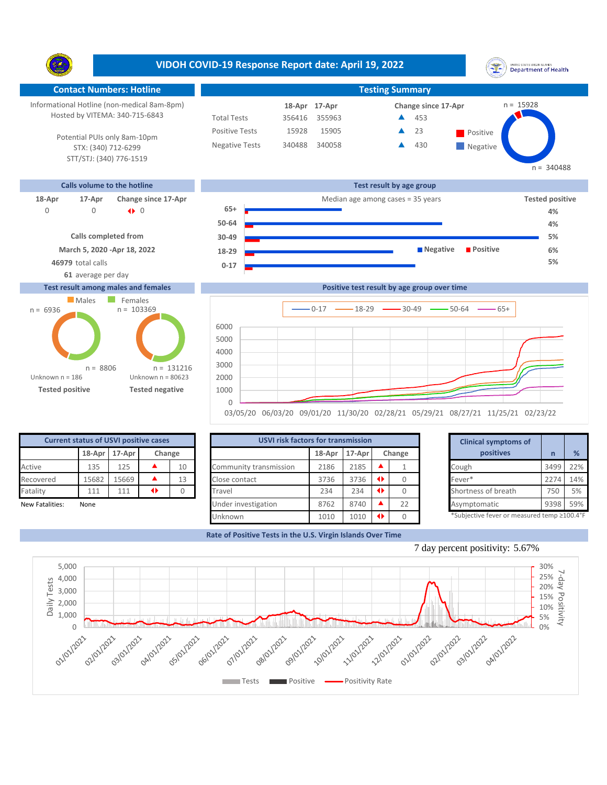**VIDOH COVID-19 Response Report date: April 19, 2022** UNITED STATES VIRGIN SLANDS<br>Department of Health Y. **Contact Numbers: Hotline Testing Summary** Informational Hotline (non-medical 8am-8pm) n = 15928 **18-Apr Change since 17-Apr 17-Apr** Hosted by VITEMA: 340-715-6843 Total Tests 356416 355963 453 ▲ Positive Tests 15928 15905 **A** 23 **Positive** 23  $\blacktriangle$ Potential PUIs only 8am-10pm Negative Tests 340488 340058 430 ▲ **Negative** STX: (340) 712-6299 STT/STJ: (340) 776-1519  $n = 340488$ **Calls volume to the hotline Test result by age group 18-Apr 17-Apr Change since 17-Apr** Median age among cases = 35 years **Tested positive 65+** 0 0 0 |} **4% 50-64 4% Calls completed from 30-49 5% March 5, 2020 -Apr 18, 2022 Negative Positive 6% 18-29 46979** total calls **5% 0-17 61** average per day **Test result among males and females Positive test result by age group over time Males** Females  $n = 103369$ n = 6936  $0-17$   $\longrightarrow$  18-29  $\longrightarrow$  30-49  $\longrightarrow$  50-64  $\longrightarrow$  65+ **Confirmed cases** 6000

Unknown n = 186 **Tested positive Tested negative** Unknown n = 80623 n = 8806 0 1000 2000 3000 4000 5000 n = 131216

03/05/20 06/03/20 09/01/20 11/30/20 02/28/21 05/29/21 08/27/21 11/25/21 02/23/22

| <b>Current status of USVI positive cases</b> |        |        |        |    |
|----------------------------------------------|--------|--------|--------|----|
|                                              | 18-Apr | 17-Apr | Change |    |
| Active                                       | 135    | 125    |        | 10 |
| Recovered                                    | 15682  | 15669  |        | 13 |
| Fatality                                     | 111    | 111    |        |    |
| New Fatalities:                              | None   |        |        |    |

|                 | <b>Current status of USVI positive cases</b> |               |   |        |                        | <b>USVI risk factors for transmission</b> |        |        |    |  |                                            |      |     |
|-----------------|----------------------------------------------|---------------|---|--------|------------------------|-------------------------------------------|--------|--------|----|--|--------------------------------------------|------|-----|
|                 |                                              | 18-Apr 17-Apr |   | Change |                        | 18-Apr                                    | 17-Apr | Change |    |  | positives                                  |      | %   |
| Active          | 135                                          | 125           |   | 10     | Community transmission | 2186                                      | 2185   |        |    |  | Cough                                      | 3499 | 22% |
| Recovered       | 15682                                        | .5669         |   | 13     | Close contact          | 3736                                      | 3736   |        |    |  | Fever*                                     | 2274 | 14% |
| Fatality        | 111                                          | 111           | ◆ |        | Travel                 | 234                                       | 234    |        |    |  | Shortness of breath                        | 750  | 5%  |
| New Fatalities: | None                                         |               |   |        | Under investigation    | 8762                                      | 8740   |        | 22 |  | Asymptomatic                               | 9398 | 59% |
|                 |                                              |               |   |        | <b>Unknown</b>         | 1010                                      | 1010   |        |    |  | *Subjective fever or measured temp ≥100.4° |      |     |

|        | for transmission |   |        | <b>Clinical symptoms of</b>                 |      |     |
|--------|------------------|---|--------|---------------------------------------------|------|-----|
| 18-Apr | 17-Apr           |   | Change | positives                                   | n    | %   |
| 2186   | 2185             |   |        | Cough                                       | 3499 | 22% |
| 3736   | 3736             | ◆ | 0      | Fever*                                      | 2274 | 14% |
| 234    | 234              | ◆ | 0      | Shortness of breath                         | 750  | 5%  |
| 8762   | 8740             |   | 22     | Asymptomatic                                | 9398 | 59% |
| 1010   | 1010             | ◆ | 0      | *Subjective fever or measured temp ≥100.4°F |      |     |

**Rate of Positive Tests in the U.S. Virgin Islands Over Time**